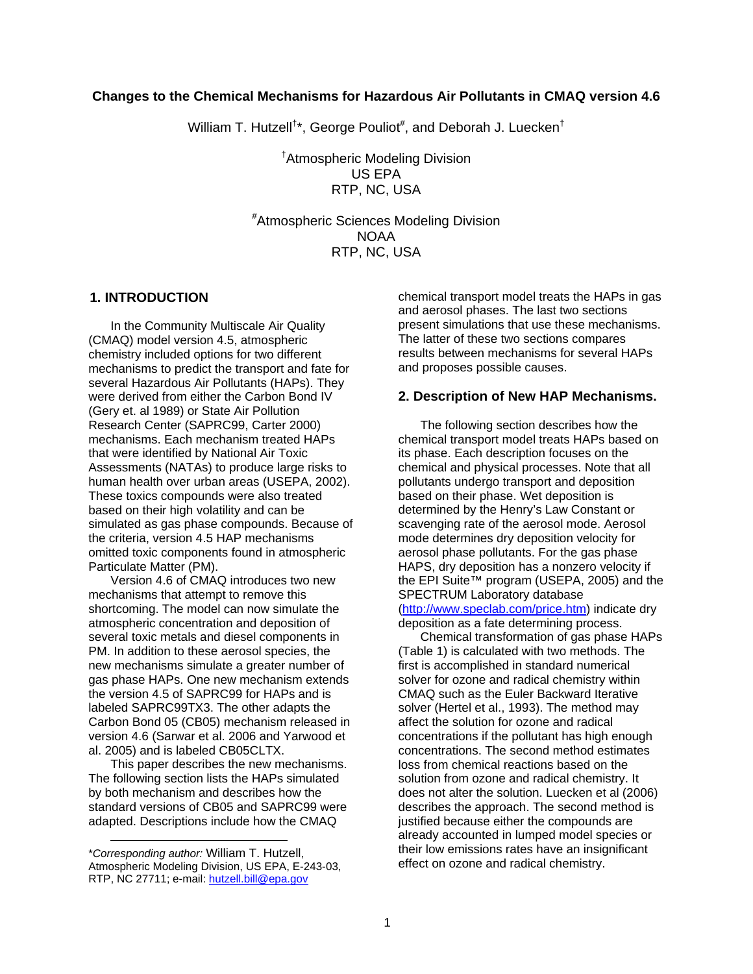## **Changes to the Chemical Mechanisms for Hazardous Air Pollutants in CMAQ version 4.6**

William T. Hutzell<sup>†\*</sup>, George Pouliot<sup>#</sup>, and Deborah J. Luecken<sup>†</sup>

† Atmospheric Modeling Division US EPA RTP, NC, USA

# Atmospheric Sciences Modeling Division NOAA RTP, NC, USA

#### **1. INTRODUCTION**

In the Community Multiscale Air Quality (CMAQ) model version 4.5, atmospheric chemistry included options for two different mechanisms to predict the transport and fate for several Hazardous Air Pollutants (HAPs). They were derived from either the Carbon Bond IV (Gery et. al 1989) or State Air Pollution Research Center (SAPRC99, Carter 2000) mechanisms. Each mechanism treated HAPs that were identified by National Air Toxic Assessments (NATAs) to produce large risks to human health over urban areas (USEPA, 2002). These toxics compounds were also treated based on their high volatility and can be simulated as gas phase compounds. Because of the criteria, version 4.5 HAP mechanisms omitted toxic components found in atmospheric Particulate Matter (PM).

Version 4.6 of CMAQ introduces two new mechanisms that attempt to remove this shortcoming. The model can now simulate the atmospheric concentration and deposition of several toxic metals and diesel components in PM. In addition to these aerosol species, the new mechanisms simulate a greater number of gas phase HAPs. One new mechanism extends the version 4.5 of SAPRC99 for HAPs and is labeled SAPRC99TX3. The other adapts the Carbon Bond 05 (CB05) mechanism released in version 4.6 (Sarwar et al. 2006 and Yarwood et al. 2005) and is labeled CB05CLTX.

This paper describes the new mechanisms. The following section lists the HAPs simulated by both mechanism and describes how the standard versions of CB05 and SAPRC99 were adapted. Descriptions include how the CMAQ

l

chemical transport model treats the HAPs in gas and aerosol phases. The last two sections present simulations that use these mechanisms. The latter of these two sections compares results between mechanisms for several HAPs and proposes possible causes.

#### **2. Description of New HAP Mechanisms.**

The following section describes how the chemical transport model treats HAPs based on its phase. Each description focuses on the chemical and physical processes. Note that all pollutants undergo transport and deposition based on their phase. Wet deposition is determined by the Henry's Law Constant or scavenging rate of the aerosol mode. Aerosol mode determines dry deposition velocity for aerosol phase pollutants. For the gas phase HAPS, dry deposition has a nonzero velocity if the EPI Suite™ program (USEPA, 2005) and the SPECTRUM Laboratory database [\(http://www.speclab.com/price.htm\)](http://www.speclab.com/price.htm) indicate dry deposition as a fate determining process.

Chemical transformation of gas phase HAPs (Table 1) is calculated with two methods. The first is accomplished in standard numerical solver for ozone and radical chemistry within CMAQ such as the Euler Backward Iterative solver (Hertel et al., 1993). The method may affect the solution for ozone and radical concentrations if the pollutant has high enough concentrations. The second method estimates loss from chemical reactions based on the solution from ozone and radical chemistry. It does not alter the solution. Luecken et al (2006) describes the approach. The second method is justified because either the compounds are already accounted in lumped model species or their low emissions rates have an insignificant effect on ozone and radical chemistry.

<sup>\*</sup>*Corresponding author:* William T. Hutzell, Atmospheric Modeling Division, US EPA, E-243-03, RTP, NC 27711; e-mail: [hutzell.bill@epa.gov](mailto:jeanne-eichinger@unc.edu)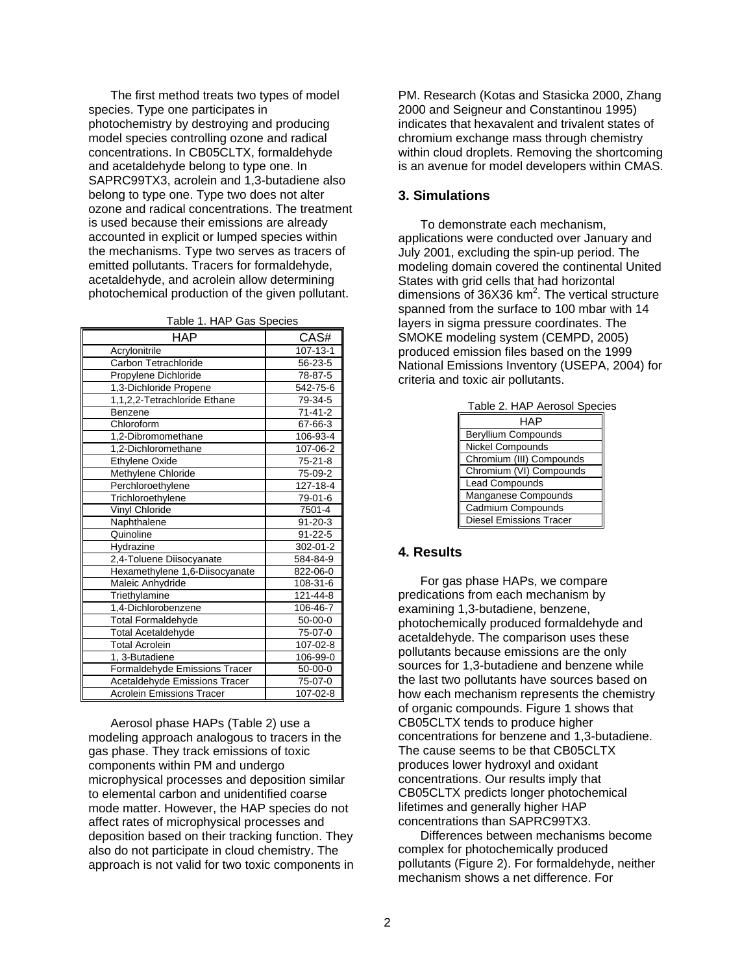The first method treats two types of model species. Type one participates in photochemistry by destroying and producing model species controlling ozone and radical concentrations. In CB05CLTX, formaldehyde and acetaldehyde belong to type one. In SAPRC99TX3, acrolein and 1,3-butadiene also belong to type one. Type two does not alter ozone and radical concentrations. The treatment is used because their emissions are already accounted in explicit or lumped species within the mechanisms. Type two serves as tracers of emitted pollutants. Tracers for formaldehyde, acetaldehyde, and acrolein allow determining photochemical production of the given pollutant.

| Table 1. HAP Gas Species |  |
|--------------------------|--|
|--------------------------|--|

| <b>HAP</b>                       | CAS#          |  |
|----------------------------------|---------------|--|
| Acrylonitrile                    | 107-13-1      |  |
| Carbon Tetrachloride             | $56 - 23 - 5$ |  |
| Propylene Dichloride             | 78-87-5       |  |
| 1,3-Dichloride Propene           | 542-75-6      |  |
| 1,1,2,2-Tetrachloride Ethane     | 79-34-5       |  |
| Benzene                          | $71-41-2$     |  |
| Chloroform                       | 67-66-3       |  |
| 1,2-Dibromomethane               | 106-93-4      |  |
| 1,2-Dichloromethane              | 107-06-2      |  |
| <b>Ethylene Oxide</b>            | $75 - 21 - 8$ |  |
| Methylene Chloride               | 75-09-2       |  |
| Perchloroethylene                | 127-18-4      |  |
| Trichloroethylene                | 79-01-6       |  |
| Vinyl Chloride                   | 7501-4        |  |
| Naphthalene                      | $91 - 20 - 3$ |  |
| Quinoline                        | $91 - 22 - 5$ |  |
| Hydrazine                        | 302-01-2      |  |
| 2,4-Toluene Diisocyanate         | 584-84-9      |  |
| Hexamethylene 1,6-Diisocyanate   | 822-06-0      |  |
| Maleic Anhydride                 | 108-31-6      |  |
| Triethylamine                    | 121-44-8      |  |
| 1,4-Dichlorobenzene              | 106-46-7      |  |
| <b>Total Formaldehyde</b>        | $50 - 00 - 0$ |  |
| Total Acetaldehyde               | 75-07-0       |  |
| <b>Total Acrolein</b>            | 107-02-8      |  |
| 1, 3-Butadiene                   | 106-99-0      |  |
| Formaldehyde Emissions Tracer    | $50 - 00 - 0$ |  |
| Acetaldehyde Emissions Tracer    | 75-07-0       |  |
| <b>Acrolein Emissions Tracer</b> | 107-02-8      |  |

Aerosol phase HAPs (Table 2) use a modeling approach analogous to tracers in the gas phase. They track emissions of toxic components within PM and undergo microphysical processes and deposition similar to elemental carbon and unidentified coarse mode matter. However, the HAP species do not affect rates of microphysical processes and deposition based on their tracking function. They also do not participate in cloud chemistry. The approach is not valid for two toxic components in PM. Research (Kotas and Stasicka 2000, Zhang 2000 and Seigneur and Constantinou 1995) indicates that hexavalent and trivalent states of chromium exchange mass through chemistry within cloud droplets. Removing the shortcoming is an avenue for model developers within CMAS.

## **3. Simulations**

To demonstrate each mechanism, applications were conducted over January and July 2001, excluding the spin-up period. The modeling domain covered the continental United States with grid cells that had horizontal dimensions of  $36X36$  km<sup>2</sup>. The vertical structure spanned from the surface to 100 mbar with 14 layers in sigma pressure coordinates. The SMOKE modeling system (CEMPD, 2005) produced emission files based on the 1999 National Emissions Inventory (USEPA, 2004) for criteria and toxic air pollutants.

|  |  | Table 2. HAP Aerosol Species |  |  |
|--|--|------------------------------|--|--|
|--|--|------------------------------|--|--|

| HAP                            |
|--------------------------------|
| <b>Beryllium Compounds</b>     |
| Nickel Compounds               |
| Chromium (III) Compounds       |
| Chromium (VI) Compounds        |
| <b>Lead Compounds</b>          |
| Manganese Compounds            |
| Cadmium Compounds              |
| <b>Diesel Emissions Tracer</b> |

#### **4. Results**

For gas phase HAPs, we compare predications from each mechanism by examining 1,3-butadiene, benzene, photochemically produced formaldehyde and acetaldehyde. The comparison uses these pollutants because emissions are the only sources for 1,3-butadiene and benzene while the last two pollutants have sources based on how each mechanism represents the chemistry of organic compounds. Figure 1 shows that CB05CLTX tends to produce higher concentrations for benzene and 1,3-butadiene. The cause seems to be that CB05CLTX produces lower hydroxyl and oxidant concentrations. Our results imply that CB05CLTX predicts longer photochemical lifetimes and generally higher HAP concentrations than SAPRC99TX3.

Differences between mechanisms become complex for photochemically produced pollutants (Figure 2). For formaldehyde, neither mechanism shows a net difference. For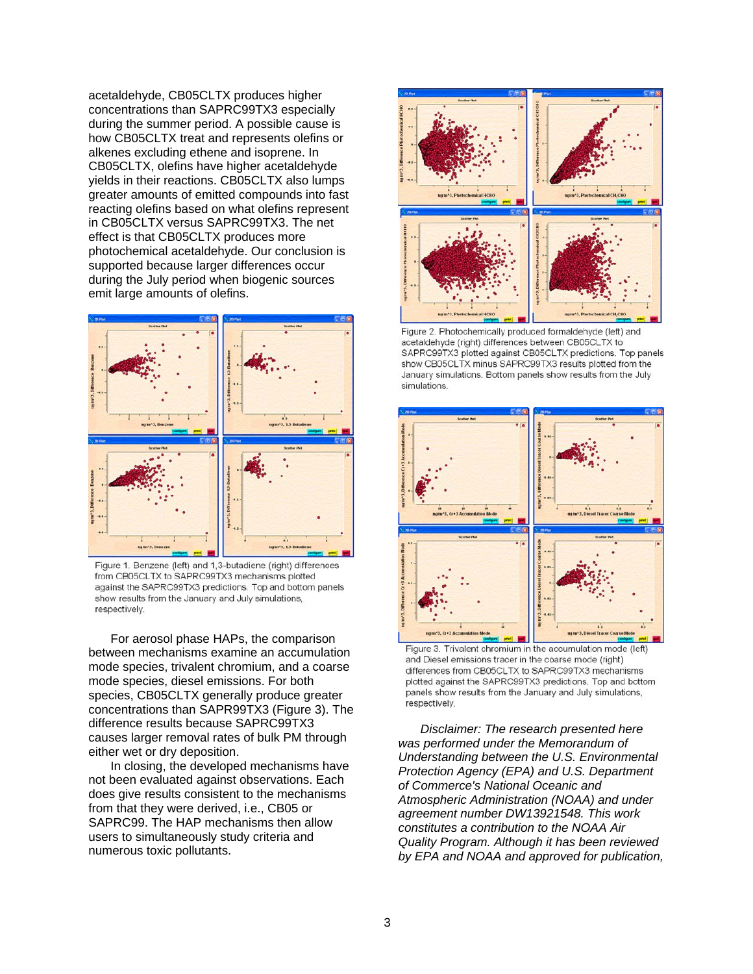acetaldehyde, CB05CLTX produces higher concentrations than SAPRC99TX3 especially during the summer period. A possible cause is how CB05CLTX treat and represents olefins or alkenes excluding ethene and isoprene. In CB05CLTX, olefins have higher acetaldehyde yields in their reactions. CB05CLTX also lumps greater amounts of emitted compounds into fast reacting olefins based on what olefins represent in CB05CLTX versus SAPRC99TX3. The net effect is that CB05CLTX produces more photochemical acetaldehyde. Our conclusion is supported because larger differences occur during the July period when biogenic sources emit large amounts of olefins.



Figure 1. Benzene (left) and 1,3-butadiene (right) differences from CB05CLTX to SAPRC99TX3 mechanisms plotted against the SAPRC99TX3 predictions. Top and bottom panels show results from the January and July simulations, respectively.

For aerosol phase HAPs, the comparison between mechanisms examine an accumulation mode species, trivalent chromium, and a coarse mode species, diesel emissions. For both species, CB05CLTX generally produce greater concentrations than SAPR99TX3 (Figure 3). The difference results because SAPRC99TX3 causes larger removal rates of bulk PM through either wet or dry deposition.

In closing, the developed mechanisms have not been evaluated against observations. Each does give results consistent to the mechanisms from that they were derived, i.e., CB05 or SAPRC99. The HAP mechanisms then allow users to simultaneously study criteria and numerous toxic pollutants.



Figure 2. Photochemically produced formaldehyde (left) and acetaldehyde (right) differences between CB05CLTX to SAPRC99TX3 plotted against CB05CLTX predictions. Top panels show CB05CLTX minus SAPRC99TX3 results plotted from the January simulations. Bottom panels show results from the July simulations.



Figure 3. Trivalent chromium in the accumulation mode (left) and Diesel emissions tracer in the coarse mode (right) differences from CB05CLTX to SAPRC99TX3 mechanisms plotted against the SAPRC99TX3 predictions. Top and bottom panels show results from the January and July simulations, respectively.

*Disclaimer: The research presented here was performed under the Memorandum of Understanding between the U.S. Environmental Protection Agency (EPA) and U.S. Department of Commerce's National Oceanic and Atmospheric Administration (NOAA) and under agreement number DW13921548. This work constitutes a contribution to the NOAA Air Quality Program. Although it has been reviewed by EPA and NOAA and approved for publication,*